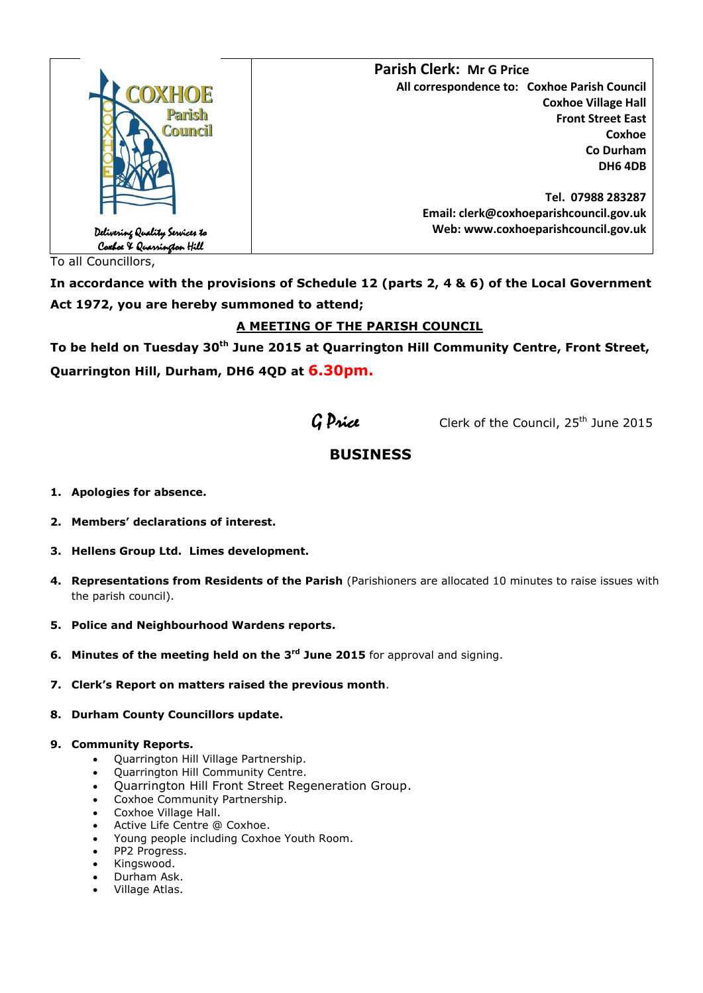

To all Councillors,

**In accordance with the provisions of Schedule 12 (parts 2, 4 & 6) of the Local Government Act 1972, you are hereby summoned to attend;**

## **A MEETING OF THE PARISH COUNCIL**

**To be held on Tuesday 30th June 2015 at Quarrington Hill Community Centre, Front Street, Quarrington Hill, Durham, DH6 4QD at 6.30pm.**

 $G$  Price Clerk of the Council, 25<sup>th</sup> June 2015

# **BUSINESS**

- **1. Apologies for absence.**
- **2. Members' declarations of interest.**
- **3. Hellens Group Ltd. Limes development.**
- **4. Representations from Residents of the Parish** (Parishioners are allocated 10 minutes to raise issues with the parish council).
- **5. Police and Neighbourhood Wardens reports.**
- **6. Minutes of the meeting held on the 3<sup>rd</sup> June 2015** for approval and signing.
- **7. Clerk's Report on matters raised the previous month**.
- **8. Durham County Councillors update.**

### **9. Community Reports.**

- Quarrington Hill Village Partnership.
- Quarrington Hill Community Centre.
- Quarrington Hill Front Street Regeneration Group.
- Coxhoe Community Partnership.
- Coxhoe Village Hall.
- Active Life Centre @ Coxhoe.
- Young people including Coxhoe Youth Room.
- PP2 Progress.
- Kingswood.
- Durham Ask.
- Village Atlas.